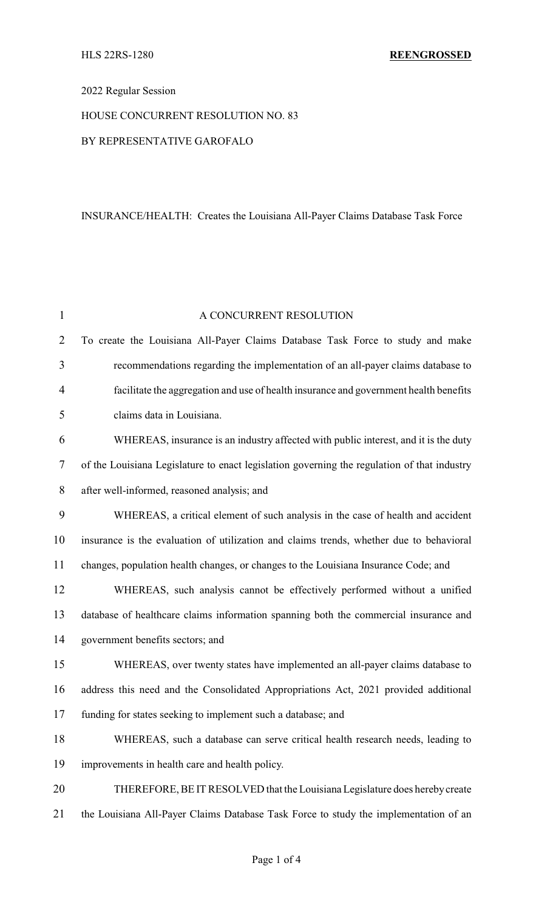# 2022 Regular Session

# HOUSE CONCURRENT RESOLUTION NO. 83

## BY REPRESENTATIVE GAROFALO

# INSURANCE/HEALTH: Creates the Louisiana All-Payer Claims Database Task Force

| $\mathbf{1}$   | A CONCURRENT RESOLUTION                                                                     |
|----------------|---------------------------------------------------------------------------------------------|
| $\overline{2}$ | To create the Louisiana All-Payer Claims Database Task Force to study and make              |
| 3              | recommendations regarding the implementation of an all-payer claims database to             |
| $\overline{4}$ | facilitate the aggregation and use of health insurance and government health benefits       |
| 5              | claims data in Louisiana.                                                                   |
| 6              | WHEREAS, insurance is an industry affected with public interest, and it is the duty         |
| 7              | of the Louisiana Legislature to enact legislation governing the regulation of that industry |
| 8              | after well-informed, reasoned analysis; and                                                 |
| 9              | WHEREAS, a critical element of such analysis in the case of health and accident             |
| 10             | insurance is the evaluation of utilization and claims trends, whether due to behavioral     |
| 11             | changes, population health changes, or changes to the Louisiana Insurance Code; and         |
| 12             | WHEREAS, such analysis cannot be effectively performed without a unified                    |
| 13             | database of healthcare claims information spanning both the commercial insurance and        |
| 14             | government benefits sectors; and                                                            |
| 15             | WHEREAS, over twenty states have implemented an all-payer claims database to                |
| 16             | address this need and the Consolidated Appropriations Act, 2021 provided additional         |
| 17             | funding for states seeking to implement such a database; and                                |
| 18             | WHEREAS, such a database can serve critical health research needs, leading to               |
| 19             | improvements in health care and health policy.                                              |
| 20             | THEREFORE, BE IT RESOLVED that the Louisiana Legislature does hereby create                 |
| 21             | the Louisiana All-Payer Claims Database Task Force to study the implementation of an        |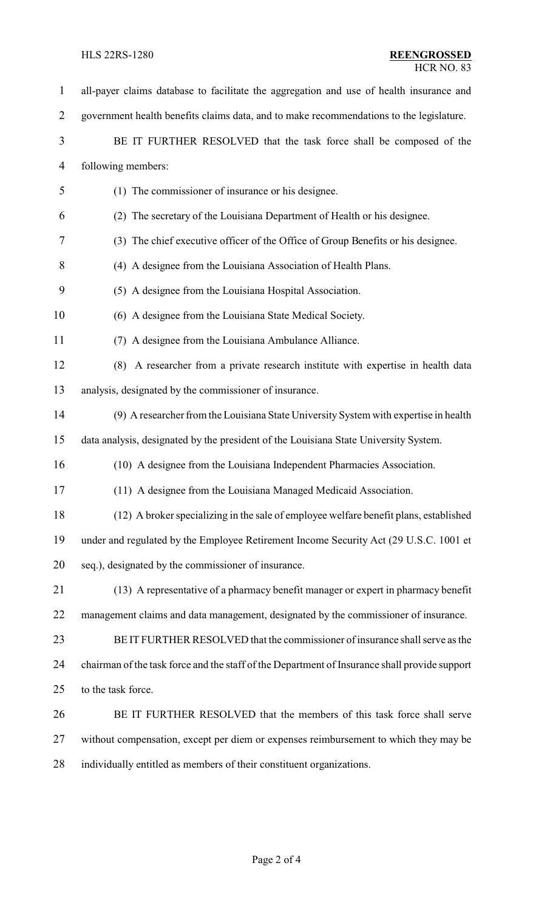| $\mathbf{1}$   | all-payer claims database to facilitate the aggregation and use of health insurance and       |
|----------------|-----------------------------------------------------------------------------------------------|
| $\overline{2}$ | government health benefits claims data, and to make recommendations to the legislature.       |
| 3              | BE IT FURTHER RESOLVED that the task force shall be composed of the                           |
| 4              | following members:                                                                            |
| 5              | (1) The commissioner of insurance or his designee.                                            |
| 6              | (2) The secretary of the Louisiana Department of Health or his designee.                      |
| 7              | (3) The chief executive officer of the Office of Group Benefits or his designee.              |
| $8\,$          | (4) A designee from the Louisiana Association of Health Plans.                                |
| 9              | (5) A designee from the Louisiana Hospital Association.                                       |
| 10             | (6) A designee from the Louisiana State Medical Society.                                      |
| 11             | (7) A designee from the Louisiana Ambulance Alliance.                                         |
| 12             | (8) A researcher from a private research institute with expertise in health data              |
| 13             | analysis, designated by the commissioner of insurance.                                        |
| 14             | (9) A researcher from the Louisiana State University System with expertise in health          |
| 15             | data analysis, designated by the president of the Louisiana State University System.          |
| 16             | (10) A designee from the Louisiana Independent Pharmacies Association.                        |
| 17             | (11) A designee from the Louisiana Managed Medicaid Association.                              |
| 18             | (12) A broker specializing in the sale of employee welfare benefit plans, established         |
| 19             | under and regulated by the Employee Retirement Income Security Act (29 U.S.C. 1001 et         |
| 20             | seq.), designated by the commissioner of insurance.                                           |
| 21             | (13) A representative of a pharmacy benefit manager or expert in pharmacy benefit             |
| 22             | management claims and data management, designated by the commissioner of insurance.           |
| 23             | BE IT FURTHER RESOLVED that the commissioner of insurance shall serve as the                  |
| 24             | chairman of the task force and the staff of the Department of Insurance shall provide support |
| 25             | to the task force.                                                                            |
| 26             | BE IT FURTHER RESOLVED that the members of this task force shall serve                        |
| 27             | without compensation, except per diem or expenses reimbursement to which they may be          |
| 28             | individually entitled as members of their constituent organizations.                          |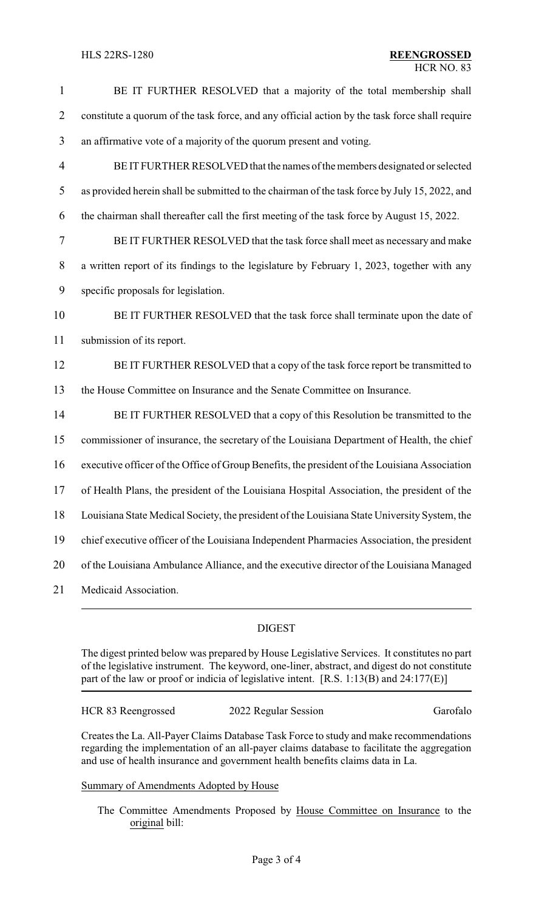| $\mathbf{1}$   | BE IT FURTHER RESOLVED that a majority of the total membership shall                           |
|----------------|------------------------------------------------------------------------------------------------|
| $\overline{2}$ | constitute a quorum of the task force, and any official action by the task force shall require |
| 3              | an affirmative vote of a majority of the quorum present and voting.                            |
| $\overline{4}$ | BE IT FURTHER RESOLVED that the names of the members designated or selected                    |
| 5              | as provided herein shall be submitted to the chairman of the task force by July 15, 2022, and  |
| 6              | the chairman shall thereafter call the first meeting of the task force by August 15, 2022.     |
| 7              | BE IT FURTHER RESOLVED that the task force shall meet as necessary and make                    |
| $8\,$          | a written report of its findings to the legislature by February 1, 2023, together with any     |
| 9              | specific proposals for legislation.                                                            |
| 10             | BE IT FURTHER RESOLVED that the task force shall terminate upon the date of                    |
| 11             | submission of its report.                                                                      |
| 12             | BE IT FURTHER RESOLVED that a copy of the task force report be transmitted to                  |
| 13             | the House Committee on Insurance and the Senate Committee on Insurance.                        |
| 14             | BE IT FURTHER RESOLVED that a copy of this Resolution be transmitted to the                    |
| 15             | commissioner of insurance, the secretary of the Louisiana Department of Health, the chief      |
| 16             | executive officer of the Office of Group Benefits, the president of the Louisiana Association  |
| 17             | of Health Plans, the president of the Louisiana Hospital Association, the president of the     |
| 18             | Louisiana State Medical Society, the president of the Louisiana State University System, the   |
| 19             | chief executive officer of the Louisiana Independent Pharmacies Association, the president     |
| 20             | of the Louisiana Ambulance Alliance, and the executive director of the Louisiana Managed       |
| 21             | Medicaid Association.                                                                          |

### DIGEST

The digest printed below was prepared by House Legislative Services. It constitutes no part of the legislative instrument. The keyword, one-liner, abstract, and digest do not constitute part of the law or proof or indicia of legislative intent. [R.S. 1:13(B) and 24:177(E)]

HCR 83 Reengrossed 2022 Regular Session Garofalo

Creates the La. All-Payer Claims Database Task Force to study and make recommendations regarding the implementation of an all-payer claims database to facilitate the aggregation and use of health insurance and government health benefits claims data in La.

# Summary of Amendments Adopted by House

The Committee Amendments Proposed by House Committee on Insurance to the original bill: